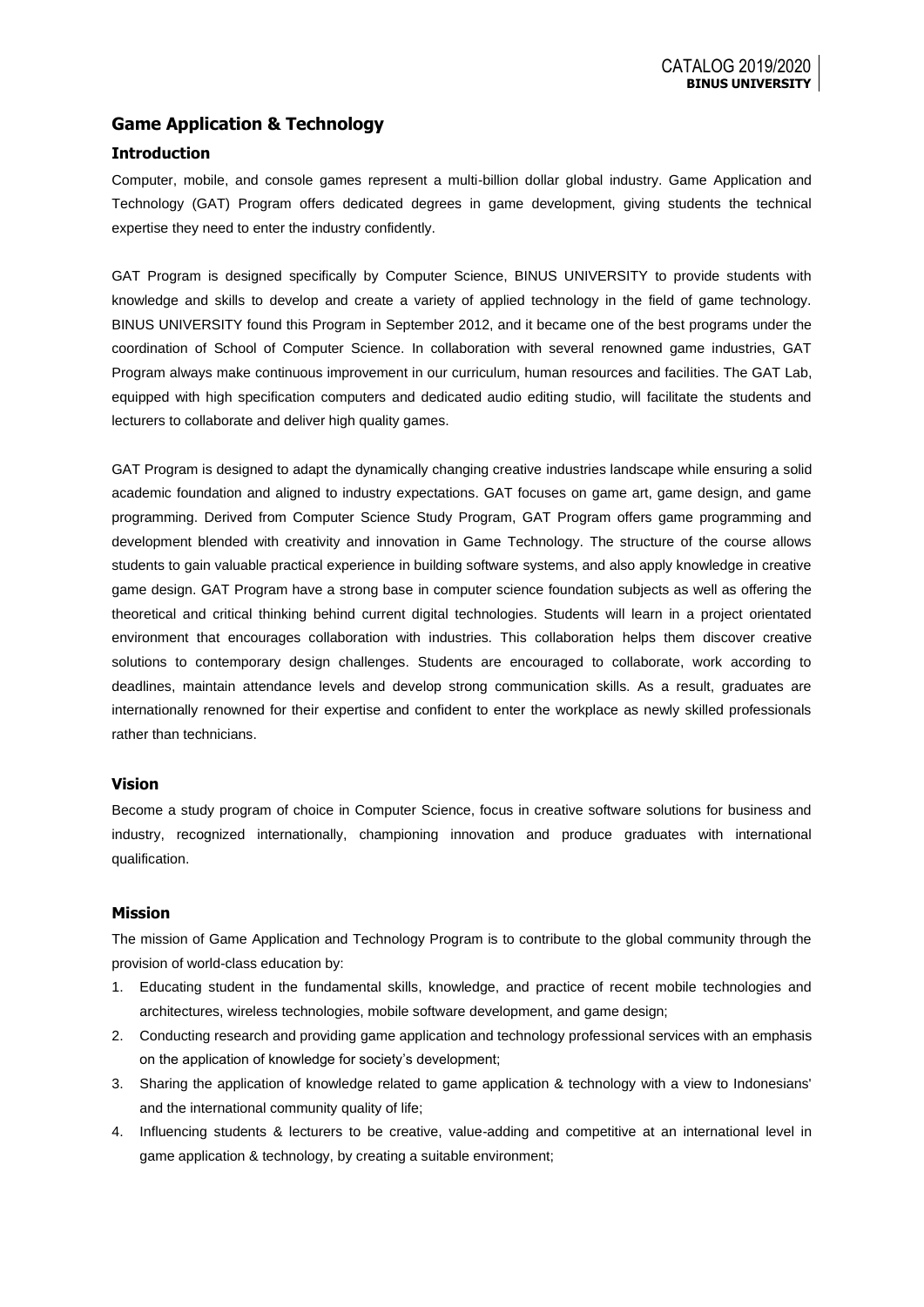# **Game Application & Technology**

## **Introduction**

Computer, mobile, and console games represent a multi-billion dollar global industry. Game Application and Technology (GAT) Program offers dedicated degrees in game development, giving students the technical expertise they need to enter the industry confidently.

GAT Program is designed specifically by Computer Science, BINUS UNIVERSITY to provide students with knowledge and skills to develop and create a variety of applied technology in the field of game technology. BINUS UNIVERSITY found this Program in September 2012, and it became one of the best programs under the coordination of School of Computer Science. In collaboration with several renowned game industries, GAT Program always make continuous improvement in our curriculum, human resources and facilities. The GAT Lab, equipped with high specification computers and dedicated audio editing studio, will facilitate the students and lecturers to collaborate and deliver high quality games.

GAT Program is designed to adapt the dynamically changing creative industries landscape while ensuring a solid academic foundation and aligned to industry expectations. GAT focuses on game art, game design, and game programming. Derived from Computer Science Study Program, GAT Program offers game programming and development blended with creativity and innovation in Game Technology. The structure of the course allows students to gain valuable practical experience in building software systems, and also apply knowledge in creative game design. GAT Program have a strong base in computer science foundation subjects as well as offering the theoretical and critical thinking behind current digital technologies. Students will learn in a project orientated environment that encourages collaboration with industries. This collaboration helps them discover creative solutions to contemporary design challenges. Students are encouraged to collaborate, work according to deadlines, maintain attendance levels and develop strong communication skills. As a result, graduates are internationally renowned for their expertise and confident to enter the workplace as newly skilled professionals rather than technicians.

#### **Vision**

Become a study program of choice in Computer Science, focus in creative software solutions for business and industry, recognized internationally, championing innovation and produce graduates with international qualification.

#### **Mission**

The mission of Game Application and Technology Program is to contribute to the global community through the provision of world-class education by:

- 1. Educating student in the fundamental skills, knowledge, and practice of recent mobile technologies and architectures, wireless technologies, mobile software development, and game design;
- 2. Conducting research and providing game application and technology professional services with an emphasis on the application of knowledge for society's development;
- 3. Sharing the application of knowledge related to game application & technology with a view to Indonesians' and the international community quality of life;
- 4. Influencing students & lecturers to be creative, value-adding and competitive at an international level in game application & technology, by creating a suitable environment;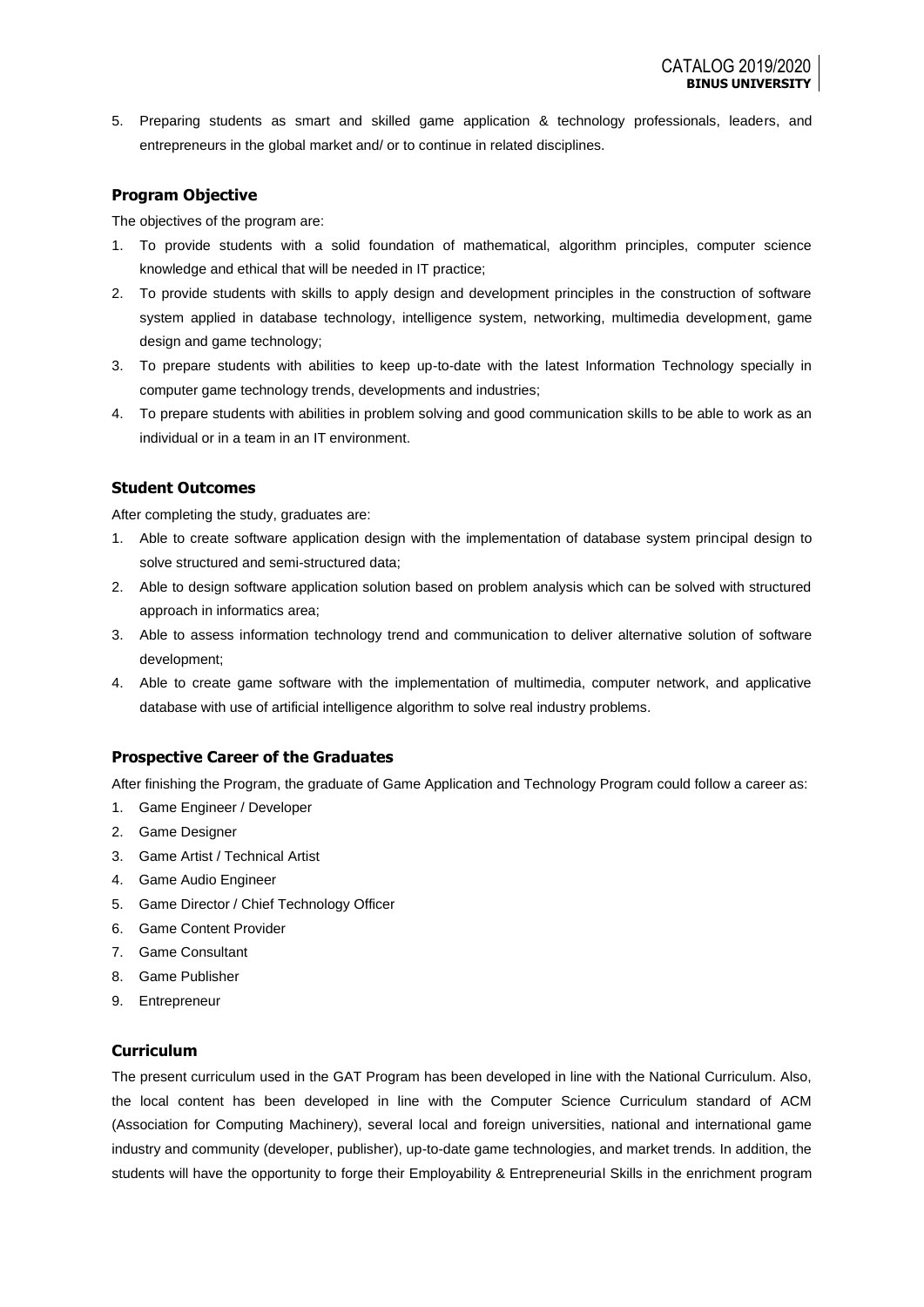5. Preparing students as smart and skilled game application & technology professionals, leaders, and entrepreneurs in the global market and/ or to continue in related disciplines.

### **Program Objective**

The objectives of the program are:

- 1. To provide students with a solid foundation of mathematical, algorithm principles, computer science knowledge and ethical that will be needed in IT practice;
- 2. To provide students with skills to apply design and development principles in the construction of software system applied in database technology, intelligence system, networking, multimedia development, game design and game technology;
- 3. To prepare students with abilities to keep up-to-date with the latest Information Technology specially in computer game technology trends, developments and industries;
- 4. To prepare students with abilities in problem solving and good communication skills to be able to work as an individual or in a team in an IT environment.

### **Student Outcomes**

After completing the study, graduates are:

- 1. Able to create software application design with the implementation of database system principal design to solve structured and semi-structured data;
- 2. Able to design software application solution based on problem analysis which can be solved with structured approach in informatics area;
- 3. Able to assess information technology trend and communication to deliver alternative solution of software development;
- 4. Able to create game software with the implementation of multimedia, computer network, and applicative database with use of artificial intelligence algorithm to solve real industry problems.

# **Prospective Career of the Graduates**

After finishing the Program, the graduate of Game Application and Technology Program could follow a career as:

- 1. Game Engineer / Developer
- 2. Game Designer
- 3. Game Artist / Technical Artist
- 4. Game Audio Engineer
- 5. Game Director / Chief Technology Officer
- 6. Game Content Provider
- 7. Game Consultant
- 8. Game Publisher
- 9. Entrepreneur

# **Curriculum**

The present curriculum used in the GAT Program has been developed in line with the National Curriculum. Also, the local content has been developed in line with the Computer Science Curriculum standard of ACM (Association for Computing Machinery), several local and foreign universities, national and international game industry and community (developer, publisher), up-to-date game technologies, and market trends. In addition, the students will have the opportunity to forge their Employability & Entrepreneurial Skills in the enrichment program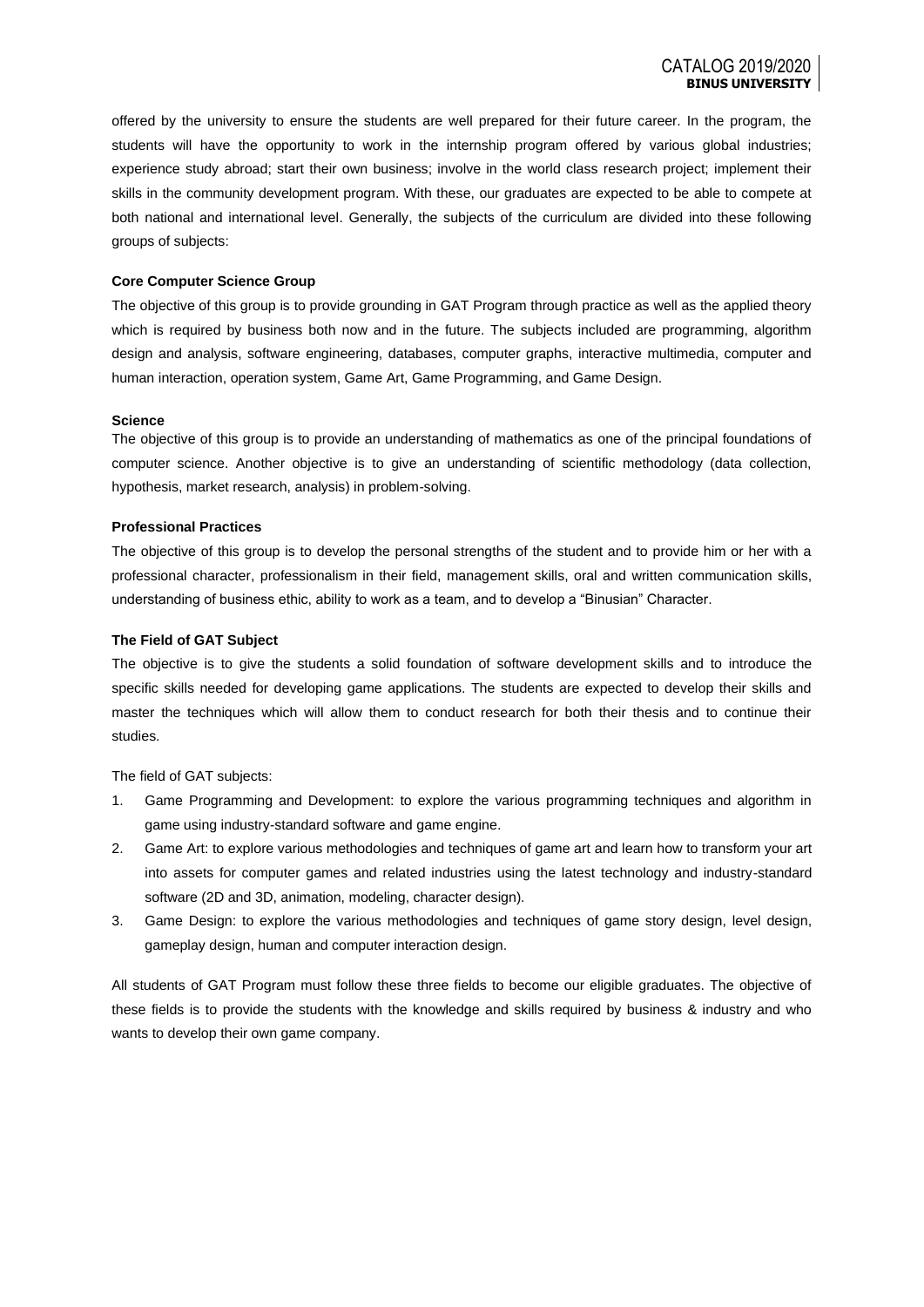offered by the university to ensure the students are well prepared for their future career. In the program, the students will have the opportunity to work in the internship program offered by various global industries; experience study abroad; start their own business; involve in the world class research project; implement their skills in the community development program. With these, our graduates are expected to be able to compete at both national and international level. Generally, the subjects of the curriculum are divided into these following groups of subjects:

#### **Core Computer Science Group**

The objective of this group is to provide grounding in GAT Program through practice as well as the applied theory which is required by business both now and in the future. The subjects included are programming, algorithm design and analysis, software engineering, databases, computer graphs, interactive multimedia, computer and human interaction, operation system, Game Art, Game Programming, and Game Design.

#### **Science**

The objective of this group is to provide an understanding of mathematics as one of the principal foundations of computer science. Another objective is to give an understanding of scientific methodology (data collection, hypothesis, market research, analysis) in problem-solving.

#### **Professional Practices**

The objective of this group is to develop the personal strengths of the student and to provide him or her with a professional character, professionalism in their field, management skills, oral and written communication skills, understanding of business ethic, ability to work as a team, and to develop a "Binusian" Character.

#### **The Field of GAT Subject**

The objective is to give the students a solid foundation of software development skills and to introduce the specific skills needed for developing game applications. The students are expected to develop their skills and master the techniques which will allow them to conduct research for both their thesis and to continue their studies.

The field of GAT subjects:

- 1. Game Programming and Development: to explore the various programming techniques and algorithm in game using industry-standard software and game engine.
- 2. Game Art: to explore various methodologies and techniques of game art and learn how to transform your art into assets for computer games and related industries using the latest technology and industry-standard software (2D and 3D, animation, modeling, character design).
- 3. Game Design: to explore the various methodologies and techniques of game story design, level design, gameplay design, human and computer interaction design.

All students of GAT Program must follow these three fields to become our eligible graduates. The objective of these fields is to provide the students with the knowledge and skills required by business & industry and who wants to develop their own game company.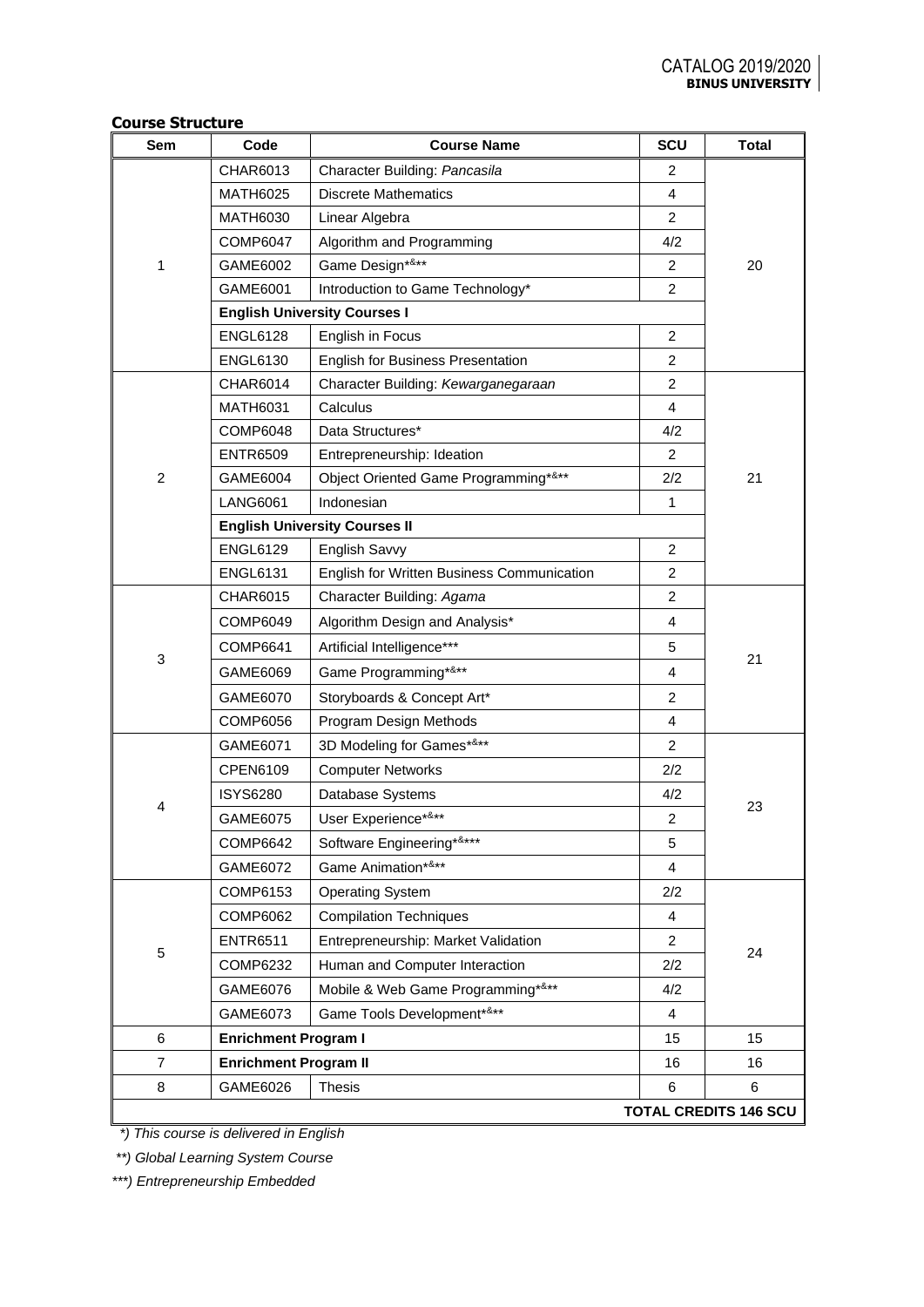#### **Course Structure**

| Sem            | Code                         | <b>Course Name</b>                         | SCU            | <b>Total</b>                 |
|----------------|------------------------------|--------------------------------------------|----------------|------------------------------|
| 1              | CHAR6013                     | Character Building: Pancasila              | 2              |                              |
|                | <b>MATH6025</b>              | <b>Discrete Mathematics</b>                | 4              |                              |
|                | <b>MATH6030</b>              | Linear Algebra                             | $\overline{2}$ |                              |
|                | <b>COMP6047</b>              | Algorithm and Programming                  | 4/2            |                              |
|                | GAME6002                     | Game Design*&**                            | $\overline{2}$ | 20                           |
|                | GAME6001                     | Introduction to Game Technology*           | 2              |                              |
|                |                              | <b>English University Courses I</b>        |                |                              |
|                | <b>ENGL6128</b>              | English in Focus                           | 2              |                              |
|                | <b>ENGL6130</b>              | <b>English for Business Presentation</b>   | 2              |                              |
|                | <b>CHAR6014</b>              | Character Building: Kewarganegaraan        | 2              |                              |
|                | <b>MATH6031</b>              | Calculus                                   | 4              |                              |
|                | <b>COMP6048</b>              | Data Structures*                           | 4/2            |                              |
|                | <b>ENTR6509</b>              | Entrepreneurship: Ideation                 | 2              |                              |
| $\overline{c}$ | GAME6004                     | Object Oriented Game Programming*&**       | 2/2            | 21                           |
|                | <b>LANG6061</b>              | Indonesian                                 | 1              |                              |
|                |                              | <b>English University Courses II</b>       |                |                              |
|                | <b>ENGL6129</b>              | English Savvy                              | 2              |                              |
|                | <b>ENGL6131</b>              | English for Written Business Communication | 2              |                              |
|                | <b>CHAR6015</b>              | Character Building: Agama                  | $\overline{c}$ | 21                           |
|                | COMP6049                     | Algorithm Design and Analysis*             | 4              |                              |
| 3              | <b>COMP6641</b>              | Artificial Intelligence***                 | 5              |                              |
|                | GAME6069                     | Game Programming*&**                       | 4              |                              |
|                | GAME6070                     | Storyboards & Concept Art*                 | $\overline{2}$ |                              |
|                | <b>COMP6056</b>              | Program Design Methods                     | 4              |                              |
|                | GAME6071                     | 3D Modeling for Games*&**                  | 2              |                              |
|                | <b>CPEN6109</b>              | <b>Computer Networks</b>                   | 2/2            |                              |
|                | <b>ISYS6280</b>              | Database Systems                           | 4/2            |                              |
| 4              | GAME6075                     | User Experience*&**                        | 2              | 23                           |
|                | <b>COMP6642</b>              | Software Engineering*&***                  | 5              |                              |
|                | GAME6072                     | Game Animation*&**                         | 4              |                              |
|                | <b>COMP6153</b>              | <b>Operating System</b>                    | 2/2            |                              |
|                | COMP6062                     | <b>Compilation Techniques</b>              | 4              |                              |
| $\mathbf 5$    | <b>ENTR6511</b>              | Entrepreneurship: Market Validation        | $\overline{2}$ |                              |
|                | <b>COMP6232</b>              | Human and Computer Interaction             | 2/2            | 24                           |
|                | GAME6076                     | Mobile & Web Game Programming*&**          | 4/2            |                              |
|                | GAME6073                     | Game Tools Development*&**                 | 4              |                              |
| 6              | <b>Enrichment Program I</b>  |                                            | 15             | 15                           |
| $\overline{7}$ | <b>Enrichment Program II</b> |                                            | 16             | 16                           |
| 8              | GAME6026                     | <b>Thesis</b>                              | 6              | 6                            |
|                |                              |                                            |                | <b>TOTAL CREDITS 146 SCU</b> |

 *\*) This course is delivered in English*

*\*\*) Global Learning System Course*

*\*\*\*) Entrepreneurship Embedded*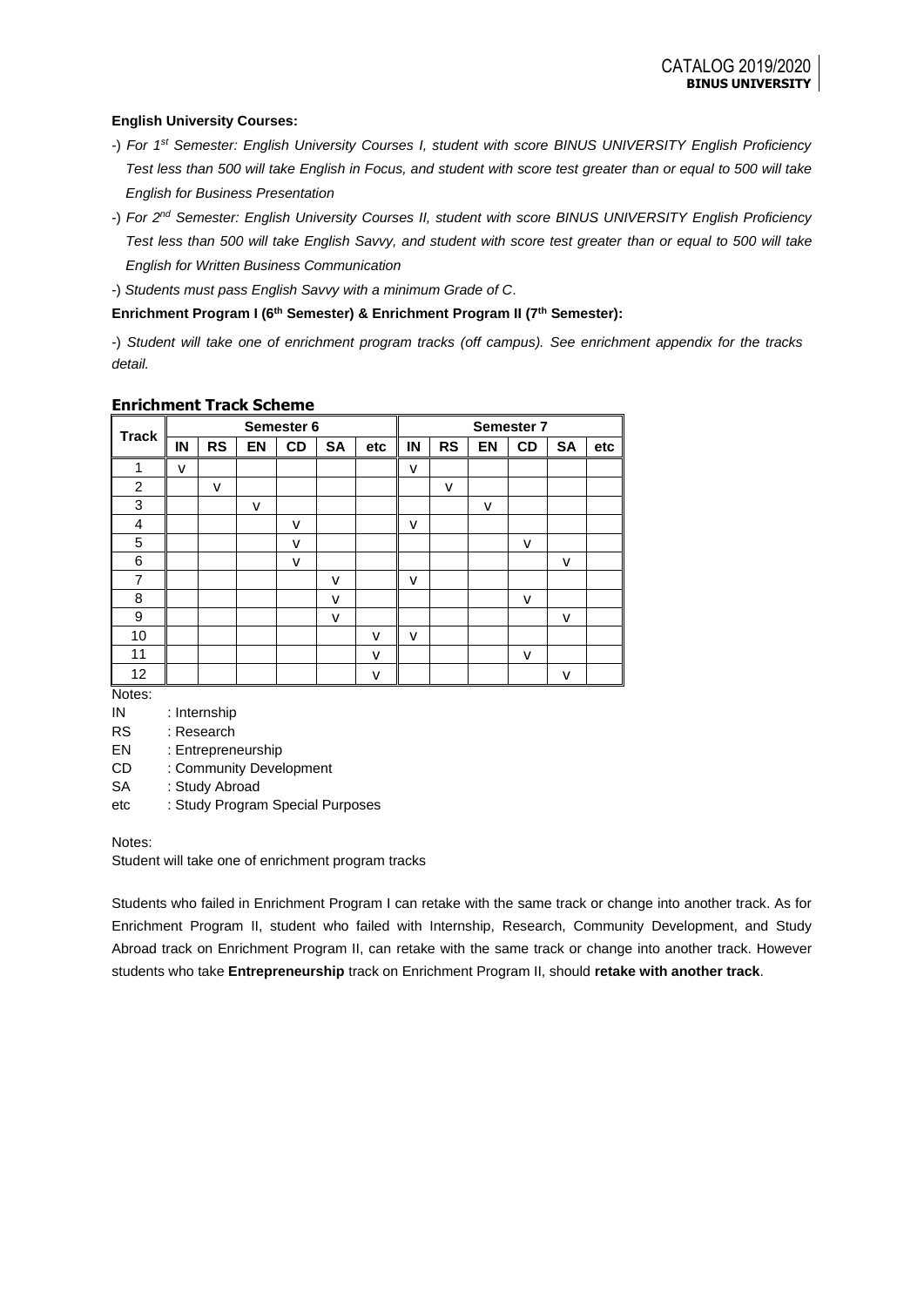### **English University Courses:**

- -) *For 1st Semester: English University Courses I, student with score BINUS UNIVERSITY English Proficiency Test less than 500 will take English in Focus, and student with score test greater than or equal to 500 will take English for Business Presentation*
- -) *For 2nd Semester: English University Courses II, student with score BINUS UNIVERSITY English Proficiency Test less than 500 will take English Savvy, and student with score test greater than or equal to 500 will take English for Written Business Communication*
- -) *Students must pass English Savvy with a minimum Grade of C*.

### **Enrichment Program I (6th Semester) & Enrichment Program II (7th Semester):**

-) *Student will take one of enrichment program tracks (off campus). See enrichment appendix for the tracks detail.*

| <b>Track</b>   |    | Semester 6 |    |           | <b>Semester 7</b> |     |    |           |           |    |              |     |
|----------------|----|------------|----|-----------|-------------------|-----|----|-----------|-----------|----|--------------|-----|
|                | IN | <b>RS</b>  | EN | <b>CD</b> | <b>SA</b>         | etc | IN | <b>RS</b> | <b>EN</b> | CD | <b>SA</b>    | etc |
| 1              | v  |            |    |           |                   |     | ۷  |           |           |    |              |     |
| $\overline{c}$ |    | v          |    |           |                   |     |    | v         |           |    |              |     |
| $\mathbf{3}$   |    |            | ۷  |           |                   |     |    |           | v         |    |              |     |
| $\overline{4}$ |    |            |    | v         |                   |     | v  |           |           |    |              |     |
| 5              |    |            |    | v         |                   |     |    |           |           | v  |              |     |
| 6              |    |            |    | v         |                   |     |    |           |           |    | ۷            |     |
| $\overline{7}$ |    |            |    |           | v                 |     | v  |           |           |    |              |     |
| 8              |    |            |    |           | ۷                 |     |    |           |           | v  |              |     |
| 9              |    |            |    |           | v                 |     |    |           |           |    | $\mathsf{v}$ |     |
| 10             |    |            |    |           |                   | v   | v  |           |           |    |              |     |
| 11             |    |            |    |           |                   | v   |    |           |           | v  |              |     |
| 12             |    |            |    |           |                   | v   |    |           |           |    | ۷            |     |

### **Enrichment Track Scheme**

Notes:

- IN : Internship
- RS : Research

EN : Entrepreneurship

CD : Community Development

- SA : Study Abroad
- etc : Study Program Special Purposes

#### Notes:

Student will take one of enrichment program tracks

Students who failed in Enrichment Program I can retake with the same track or change into another track. As for Enrichment Program II, student who failed with Internship, Research, Community Development, and Study Abroad track on Enrichment Program II, can retake with the same track or change into another track. However students who take **Entrepreneurship** track on Enrichment Program II, should **retake with another track**.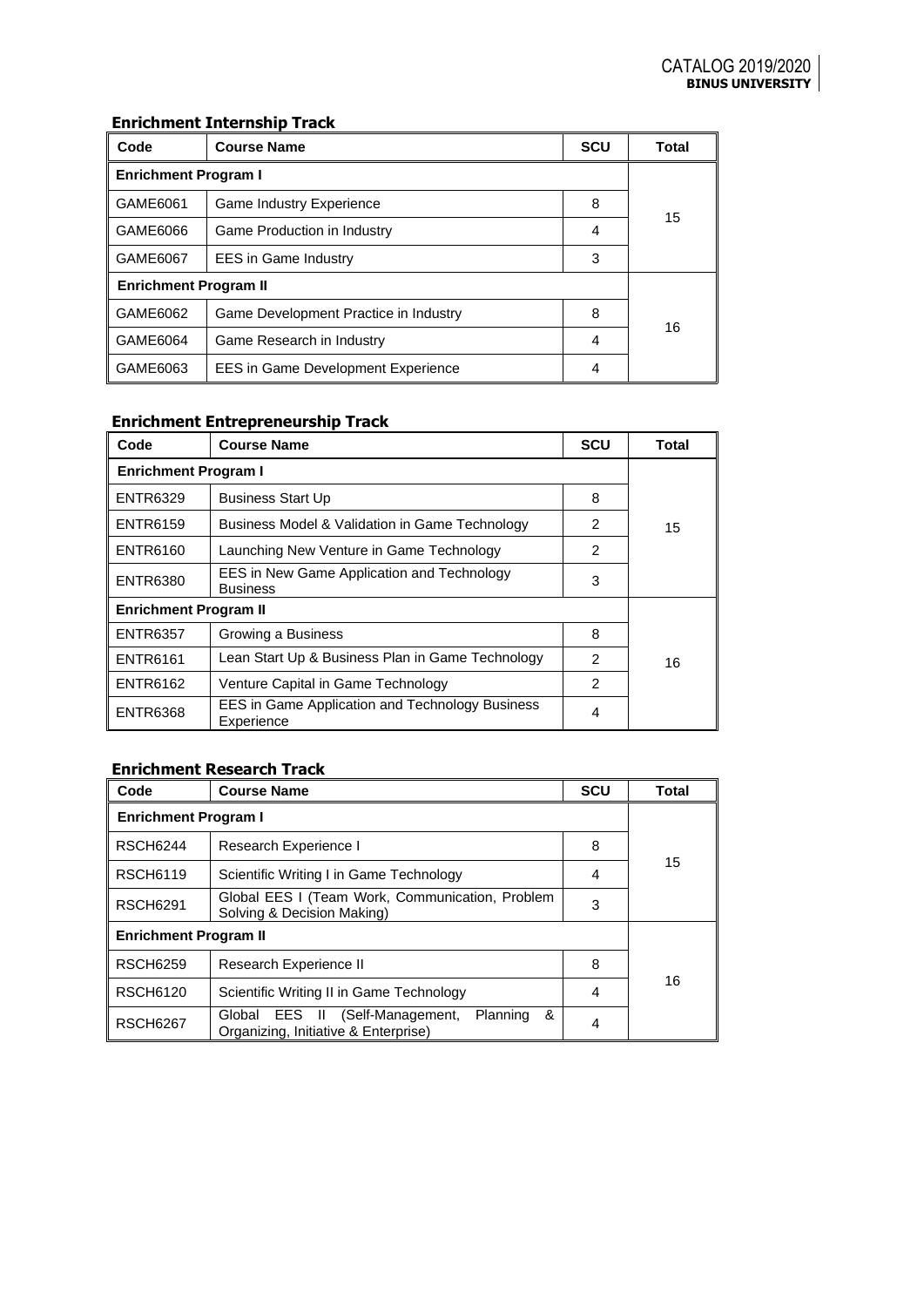# **Enrichment Internship Track**

| Code                                  | <b>Course Name</b>                        | scu | <b>Total</b> |  |  |
|---------------------------------------|-------------------------------------------|-----|--------------|--|--|
| <b>Enrichment Program I</b>           |                                           |     |              |  |  |
| GAME6061                              | <b>Game Industry Experience</b>           | 8   |              |  |  |
| GAME6066                              | Game Production in Industry               | 4   | 15           |  |  |
| GAME6067                              | <b>EES</b> in Game Industry               | 3   |              |  |  |
| <b>Enrichment Program II</b>          |                                           |     |              |  |  |
| GAME6062                              | Game Development Practice in Industry     | 8   | 16           |  |  |
| GAME6064<br>Game Research in Industry |                                           | 4   |              |  |  |
| GAME6063                              | <b>EES</b> in Game Development Experience | 4   |              |  |  |

# **Enrichment Entrepreneurship Track**

| Code                                                                             | <b>Course Name</b>                                                   | <b>SCU</b> | Total |  |  |
|----------------------------------------------------------------------------------|----------------------------------------------------------------------|------------|-------|--|--|
| <b>Enrichment Program I</b>                                                      |                                                                      |            |       |  |  |
| <b>ENTR6329</b>                                                                  | <b>Business Start Up</b>                                             | 8          |       |  |  |
| <b>ENTR6159</b>                                                                  | Business Model & Validation in Game Technology                       |            | 15    |  |  |
| <b>ENTR6160</b>                                                                  | Launching New Venture in Game Technology                             | 2          |       |  |  |
| EES in New Game Application and Technology<br><b>ENTR6380</b><br><b>Business</b> |                                                                      | 3          |       |  |  |
| <b>Enrichment Program II</b>                                                     |                                                                      |            |       |  |  |
| <b>ENTR6357</b>                                                                  | Growing a Business                                                   | 8          |       |  |  |
| <b>ENTR6161</b>                                                                  | Lean Start Up & Business Plan in Game Technology                     | 2          | 16    |  |  |
| <b>ENTR6162</b>                                                                  | Venture Capital in Game Technology                                   | 2          |       |  |  |
| <b>ENTR6368</b>                                                                  | <b>EES in Game Application and Technology Business</b><br>Experience | 4          |       |  |  |

# **Enrichment Research Track**

| Code                         | <b>Course Name</b>                                                                          | <b>SCU</b> | <b>Total</b> |  |  |  |
|------------------------------|---------------------------------------------------------------------------------------------|------------|--------------|--|--|--|
| <b>Enrichment Program I</b>  |                                                                                             |            |              |  |  |  |
| <b>RSCH6244</b>              | Research Experience I                                                                       | 8          |              |  |  |  |
| <b>RSCH6119</b>              | Scientific Writing I in Game Technology                                                     | 4          | 15           |  |  |  |
| <b>RSCH6291</b>              | Global EES I (Team Work, Communication, Problem<br>Solving & Decision Making)               | 3          |              |  |  |  |
| <b>Enrichment Program II</b> |                                                                                             |            |              |  |  |  |
| <b>RSCH6259</b>              | Research Experience II                                                                      | 8          |              |  |  |  |
| <b>RSCH6120</b>              | Scientific Writing II in Game Technology                                                    | 4          | 16           |  |  |  |
| <b>RSCH6267</b>              | (Self-Management, Planning<br>&<br>EES II<br>Global<br>Organizing, Initiative & Enterprise) | 4          |              |  |  |  |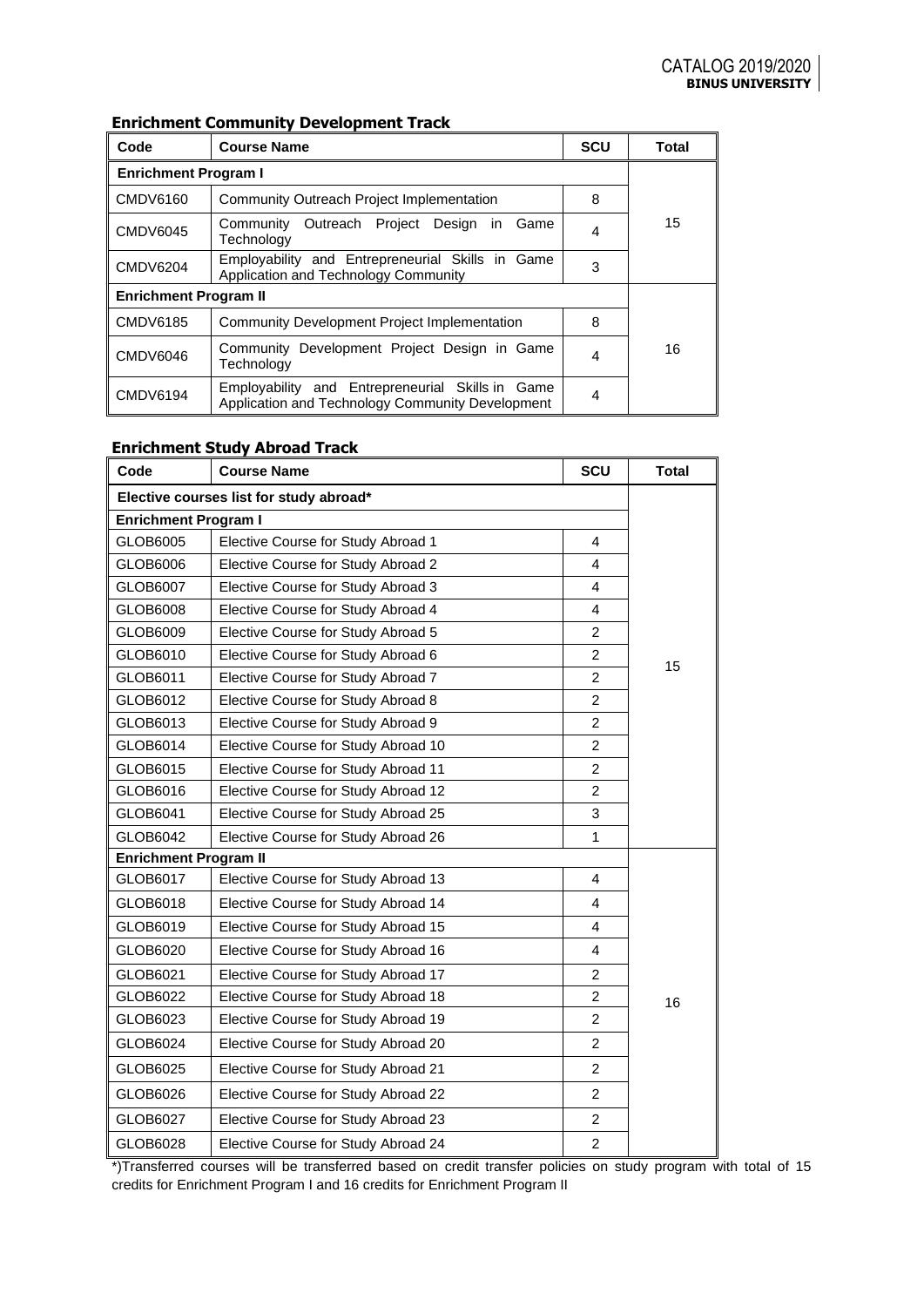## **Enrichment Community Development Track**

| Code                         | <b>Course Name</b>                                                                                   | <b>SCU</b> | <b>Total</b> |  |  |
|------------------------------|------------------------------------------------------------------------------------------------------|------------|--------------|--|--|
| <b>Enrichment Program I</b>  |                                                                                                      |            |              |  |  |
| CMDV6160                     | Community Outreach Project Implementation                                                            | 8          |              |  |  |
| <b>CMDV6045</b>              | Community Outreach Project Design in<br>Game<br>Technology                                           |            | 15           |  |  |
| <b>CMDV6204</b>              | Employability and Entrepreneurial Skills in Game<br>Application and Technology Community             | 3          |              |  |  |
| <b>Enrichment Program II</b> |                                                                                                      |            |              |  |  |
| CMDV6185                     | Community Development Project Implementation                                                         | 8          |              |  |  |
| <b>CMDV6046</b>              | Community Development Project Design in Game<br>Technology                                           | 4          | 16           |  |  |
| <b>CMDV6194</b>              | Employability and Entrepreneurial Skills in Game<br>Application and Technology Community Development | 4          |              |  |  |

# **Enrichment Study Abroad Track**

| Code                                    | <b>Course Name</b>                  |                | <b>Total</b> |  |  |
|-----------------------------------------|-------------------------------------|----------------|--------------|--|--|
| Elective courses list for study abroad* |                                     |                |              |  |  |
| <b>Enrichment Program I</b>             |                                     |                |              |  |  |
| GLOB6005                                | Elective Course for Study Abroad 1  | 4              |              |  |  |
| GLOB6006                                | Elective Course for Study Abroad 2  | 4              |              |  |  |
| GLOB6007                                | Elective Course for Study Abroad 3  | 4              |              |  |  |
| GLOB6008                                | Elective Course for Study Abroad 4  | $\overline{4}$ |              |  |  |
| GLOB6009                                | Elective Course for Study Abroad 5  | $\overline{c}$ |              |  |  |
| GLOB6010                                | Elective Course for Study Abroad 6  | $\overline{2}$ | 15           |  |  |
| GLOB6011                                | Elective Course for Study Abroad 7  | $\overline{2}$ |              |  |  |
| GLOB6012                                | Elective Course for Study Abroad 8  | $\overline{2}$ |              |  |  |
| GLOB6013                                | Elective Course for Study Abroad 9  | $\overline{2}$ |              |  |  |
| GLOB6014                                | Elective Course for Study Abroad 10 | $\overline{2}$ |              |  |  |
| GLOB6015                                | Elective Course for Study Abroad 11 | $\overline{2}$ |              |  |  |
| GLOB6016                                | Elective Course for Study Abroad 12 | $\overline{2}$ |              |  |  |
| GLOB6041                                | Elective Course for Study Abroad 25 | 3              |              |  |  |
| GLOB6042                                | Elective Course for Study Abroad 26 | 1              |              |  |  |
| <b>Enrichment Program II</b>            |                                     |                |              |  |  |
| GLOB6017                                | Elective Course for Study Abroad 13 | 4              |              |  |  |
| GLOB6018                                | Elective Course for Study Abroad 14 | $\overline{4}$ |              |  |  |
| GLOB6019                                | Elective Course for Study Abroad 15 | $\overline{4}$ |              |  |  |
| GLOB6020                                | Elective Course for Study Abroad 16 | $\overline{4}$ |              |  |  |
| GLOB6021                                | Elective Course for Study Abroad 17 | $\overline{2}$ |              |  |  |
| GLOB6022                                | Elective Course for Study Abroad 18 | $\overline{c}$ | 16           |  |  |
| GLOB6023                                | Elective Course for Study Abroad 19 | $\overline{2}$ |              |  |  |
| GLOB6024                                | Elective Course for Study Abroad 20 | $\overline{2}$ |              |  |  |
| GLOB6025                                | Elective Course for Study Abroad 21 | $\overline{2}$ |              |  |  |
| GLOB6026                                | Elective Course for Study Abroad 22 | $\overline{2}$ |              |  |  |
| GLOB6027                                | Elective Course for Study Abroad 23 | $\overline{c}$ |              |  |  |
| GLOB6028                                | Elective Course for Study Abroad 24 | $\overline{2}$ |              |  |  |

\*)Transferred courses will be transferred based on credit transfer policies on study program with total of 15 credits for Enrichment Program I and 16 credits for Enrichment Program II